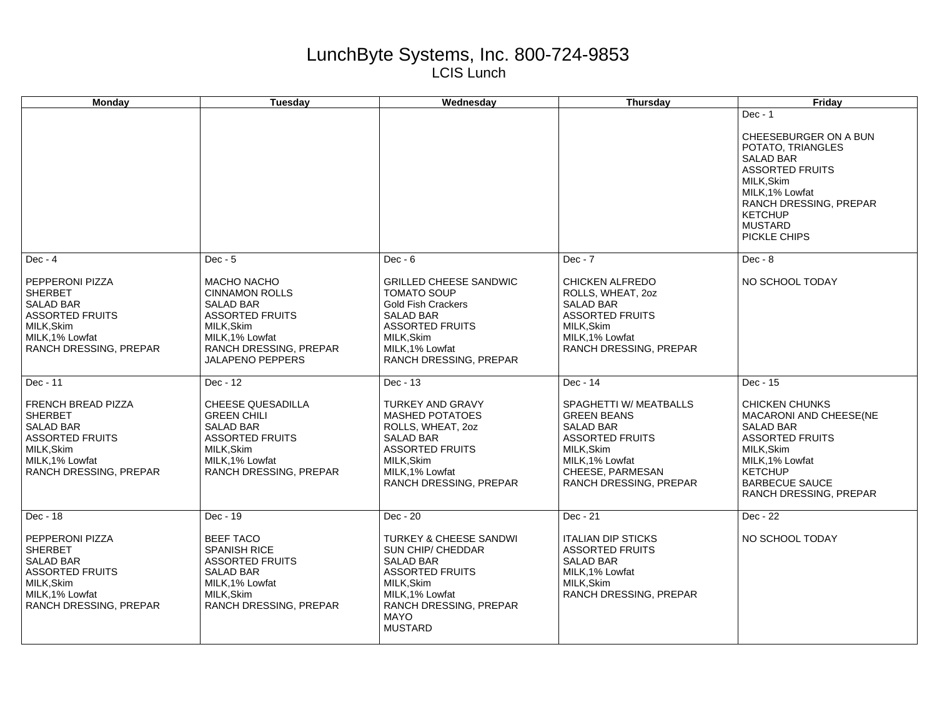## LunchByte Systems, Inc. 800-724-9853 LCIS Lunch

| Monday                                                                                                                                                          | <b>Tuesday</b>                                                                                                                                                                              | Wednesday                                                                                                                                                                                                          | <b>Thursday</b>                                                                                                                                                                | Friday                                                                                                                                                                                                               |
|-----------------------------------------------------------------------------------------------------------------------------------------------------------------|---------------------------------------------------------------------------------------------------------------------------------------------------------------------------------------------|--------------------------------------------------------------------------------------------------------------------------------------------------------------------------------------------------------------------|--------------------------------------------------------------------------------------------------------------------------------------------------------------------------------|----------------------------------------------------------------------------------------------------------------------------------------------------------------------------------------------------------------------|
|                                                                                                                                                                 |                                                                                                                                                                                             |                                                                                                                                                                                                                    |                                                                                                                                                                                | $Dec - 1$<br>CHEESEBURGER ON A BUN<br>POTATO, TRIANGLES<br><b>SALAD BAR</b><br><b>ASSORTED FRUITS</b><br>MILK, Skim<br>MILK, 1% Lowfat<br>RANCH DRESSING, PREPAR<br><b>KETCHUP</b><br><b>MUSTARD</b><br>PICKLE CHIPS |
| $Dec - 4$<br>PEPPERONI PIZZA<br><b>SHERBET</b><br><b>SALAD BAR</b><br><b>ASSORTED FRUITS</b><br>MILK.Skim<br>MILK, 1% Lowfat<br>RANCH DRESSING, PREPAR          | $Dec - 5$<br><b>MACHO NACHO</b><br><b>CINNAMON ROLLS</b><br><b>SALAD BAR</b><br><b>ASSORTED FRUITS</b><br>MILK.Skim<br>MILK, 1% Lowfat<br>RANCH DRESSING, PREPAR<br><b>JALAPENO PEPPERS</b> | $Dec - 6$<br><b>GRILLED CHEESE SANDWIC</b><br><b>TOMATO SOUP</b><br><b>Gold Fish Crackers</b><br><b>SALAD BAR</b><br><b>ASSORTED FRUITS</b><br>MILK, Skim<br>MILK, 1% Lowfat<br>RANCH DRESSING, PREPAR             | $Dec - 7$<br><b>CHICKEN ALFREDO</b><br>ROLLS, WHEAT, 2oz<br><b>SALAD BAR</b><br><b>ASSORTED FRUITS</b><br>MILK.Skim<br>MILK, 1% Lowfat<br>RANCH DRESSING, PREPAR               | $Dec - 8$<br>NO SCHOOL TODAY                                                                                                                                                                                         |
| Dec - 11<br><b>FRENCH BREAD PIZZA</b><br><b>SHERBET</b><br><b>SALAD BAR</b><br><b>ASSORTED FRUITS</b><br>MILK, Skim<br>MILK.1% Lowfat<br>RANCH DRESSING, PREPAR | Dec - 12<br><b>CHEESE QUESADILLA</b><br><b>GREEN CHILI</b><br><b>SALAD BAR</b><br><b>ASSORTED FRUITS</b><br>MILK, Skim<br>MILK.1% Lowfat<br>RANCH DRESSING, PREPAR                          | Dec - 13<br><b>TURKEY AND GRAVY</b><br><b>MASHED POTATOES</b><br>ROLLS, WHEAT, 20Z<br><b>SALAD BAR</b><br><b>ASSORTED FRUITS</b><br>MILK, Skim<br>MILK, 1% Lowfat<br>RANCH DRESSING, PREPAR                        | Dec - 14<br>SPAGHETTI W/ MEATBALLS<br><b>GREEN BEANS</b><br>SALAD BAR<br><b>ASSORTED FRUITS</b><br>MILK, Skim<br>MILK, 1% Lowfat<br>CHEESE, PARMESAN<br>RANCH DRESSING, PREPAR | Dec - 15<br><b>CHICKEN CHUNKS</b><br>MACARONI AND CHEESE(NE<br>SALAD BAR<br><b>ASSORTED FRUITS</b><br>MILK, Skim<br>MILK, 1% Lowfat<br><b>KETCHUP</b><br><b>BARBECUE SAUCE</b><br>RANCH DRESSING, PREPAR             |
| Dec - 18<br>PEPPERONI PIZZA<br><b>SHERBET</b><br><b>SALAD BAR</b><br><b>ASSORTED FRUITS</b><br>MILK, Skim<br>MILK, 1% Lowfat<br>RANCH DRESSING, PREPAR          | Dec - 19<br><b>BEEF TACO</b><br><b>SPANISH RICE</b><br><b>ASSORTED FRUITS</b><br><b>SALAD BAR</b><br>MILK, 1% Lowfat<br>MILK, Skim<br>RANCH DRESSING, PREPAR                                | Dec - 20<br><b>TURKEY &amp; CHEESE SANDWI</b><br><b>SUN CHIP/ CHEDDAR</b><br><b>SALAD BAR</b><br><b>ASSORTED FRUITS</b><br>MILK.Skim<br>MILK, 1% Lowfat<br>RANCH DRESSING, PREPAR<br><b>MAYO</b><br><b>MUSTARD</b> | Dec - 21<br><b>ITALIAN DIP STICKS</b><br><b>ASSORTED FRUITS</b><br><b>SALAD BAR</b><br>MILK, 1% Lowfat<br>MILK, Skim<br>RANCH DRESSING, PREPAR                                 | Dec - 22<br>NO SCHOOL TODAY                                                                                                                                                                                          |